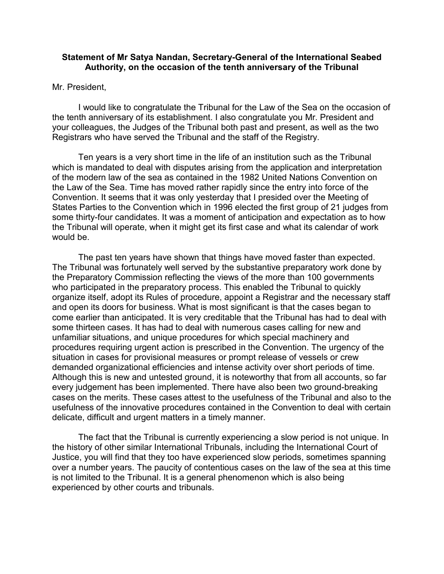## **Statement of Mr Satya Nandan, Secretary-General of the International Seabed Authority, on the occasion of the tenth anniversary of the Tribunal**

## Mr. President,

I would like to congratulate the Tribunal for the Law of the Sea on the occasion of the tenth anniversary of its establishment. I also congratulate you Mr. President and your colleagues, the Judges of the Tribunal both past and present, as well as the two Registrars who have served the Tribunal and the staff of the Registry.

Ten years is a very short time in the life of an institution such as the Tribunal which is mandated to deal with disputes arising from the application and interpretation of the modern law of the sea as contained in the 1982 United Nations Convention on the Law of the Sea. Time has moved rather rapidly since the entry into force of the Convention. It seems that it was only yesterday that I presided over the Meeting of States Parties to the Convention which in 1996 elected the first group of 21 judges from some thirty-four candidates. It was a moment of anticipation and expectation as to how the Tribunal will operate, when it might get its first case and what its calendar of work would be.

The past ten years have shown that things have moved faster than expected. The Tribunal was fortunately well served by the substantive preparatory work done by the Preparatory Commission reflecting the views of the more than 100 governments who participated in the preparatory process. This enabled the Tribunal to quickly organize itself, adopt its Rules of procedure, appoint a Registrar and the necessary staff and open its doors for business. What is most significant is that the cases began to come earlier than anticipated. It is very creditable that the Tribunal has had to deal with some thirteen cases. It has had to deal with numerous cases calling for new and unfamiliar situations, and unique procedures for which special machinery and procedures requiring urgent action is prescribed in the Convention. The urgency of the situation in cases for provisional measures or prompt release of vessels or crew demanded organizational efficiencies and intense activity over short periods of time. Although this is new and untested ground, it is noteworthy that from all accounts, so far every judgement has been implemented. There have also been two ground-breaking cases on the merits. These cases attest to the usefulness of the Tribunal and also to the usefulness of the innovative procedures contained in the Convention to deal with certain delicate, difficult and urgent matters in a timely manner.

The fact that the Tribunal is currently experiencing a slow period is not unique. In the history of other similar International Tribunals, including the International Court of Justice, you will find that they too have experienced slow periods, sometimes spanning over a number years. The paucity of contentious cases on the law of the sea at this time is not limited to the Tribunal. It is a general phenomenon which is also being experienced by other courts and tribunals.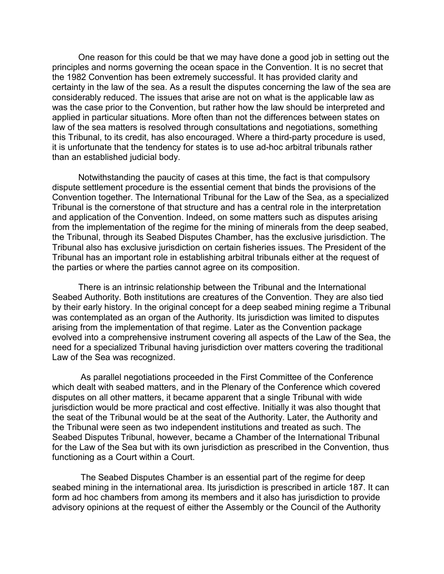One reason for this could be that we may have done a good job in setting out the principles and norms governing the ocean space in the Convention. It is no secret that the 1982 Convention has been extremely successful. It has provided clarity and certainty in the law of the sea. As a result the disputes concerning the law of the sea are considerably reduced. The issues that arise are not on what is the applicable law as was the case prior to the Convention, but rather how the law should be interpreted and applied in particular situations. More often than not the differences between states on law of the sea matters is resolved through consultations and negotiations, something this Tribunal, to its credit, has also encouraged. Where a third-party procedure is used, it is unfortunate that the tendency for states is to use ad-hoc arbitral tribunals rather than an established judicial body.

Notwithstanding the paucity of cases at this time, the fact is that compulsory dispute settlement procedure is the essential cement that binds the provisions of the Convention together. The International Tribunal for the Law of the Sea, as a specialized Tribunal is the cornerstone of that structure and has a central role in the interpretation and application of the Convention. Indeed, on some matters such as disputes arising from the implementation of the regime for the mining of minerals from the deep seabed, the Tribunal, through its Seabed Disputes Chamber, has the exclusive jurisdiction. The Tribunal also has exclusive jurisdiction on certain fisheries issues. The President of the Tribunal has an important role in establishing arbitral tribunals either at the request of the parties or where the parties cannot agree on its composition.

There is an intrinsic relationship between the Tribunal and the International Seabed Authority. Both institutions are creatures of the Convention. They are also tied by their early history. In the original concept for a deep seabed mining regime a Tribunal was contemplated as an organ of the Authority. Its jurisdiction was limited to disputes arising from the implementation of that regime. Later as the Convention package evolved into a comprehensive instrument covering all aspects of the Law of the Sea, the need for a specialized Tribunal having jurisdiction over matters covering the traditional Law of the Sea was recognized.

As parallel negotiations proceeded in the First Committee of the Conference which dealt with seabed matters, and in the Plenary of the Conference which covered disputes on all other matters, it became apparent that a single Tribunal with wide jurisdiction would be more practical and cost effective. Initially it was also thought that the seat of the Tribunal would be at the seat of the Authority. Later, the Authority and the Tribunal were seen as two independent institutions and treated as such. The Seabed Disputes Tribunal, however, became a Chamber of the International Tribunal for the Law of the Sea but with its own jurisdiction as prescribed in the Convention, thus functioning as a Court within a Court.

The Seabed Disputes Chamber is an essential part of the regime for deep seabed mining in the international area. Its jurisdiction is prescribed in article 187. It can form ad hoc chambers from among its members and it also has jurisdiction to provide advisory opinions at the request of either the Assembly or the Council of the Authority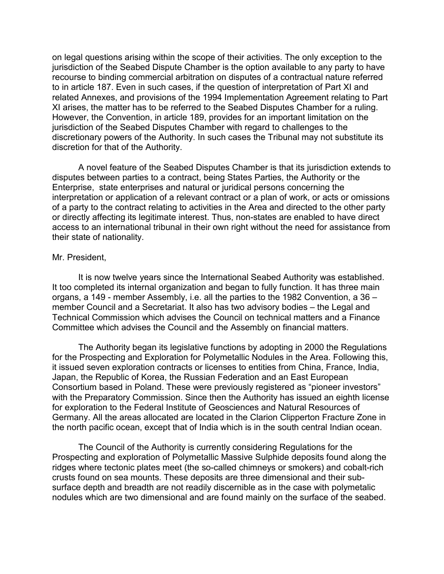on legal questions arising within the scope of their activities. The only exception to the jurisdiction of the Seabed Dispute Chamber is the option available to any party to have recourse to binding commercial arbitration on disputes of a contractual nature referred to in article 187. Even in such cases, if the question of interpretation of Part XI and related Annexes, and provisions of the 1994 Implementation Agreement relating to Part XI arises, the matter has to be referred to the Seabed Disputes Chamber for a ruling. However, the Convention, in article 189, provides for an important limitation on the jurisdiction of the Seabed Disputes Chamber with regard to challenges to the discretionary powers of the Authority. In such cases the Tribunal may not substitute its discretion for that of the Authority.

A novel feature of the Seabed Disputes Chamber is that its jurisdiction extends to disputes between parties to a contract, being States Parties, the Authority or the Enterprise, state enterprises and natural or juridical persons concerning the interpretation or application of a relevant contract or a plan of work, or acts or omissions of a party to the contract relating to activities in the Area and directed to the other party or directly affecting its legitimate interest. Thus, non-states are enabled to have direct access to an international tribunal in their own right without the need for assistance from their state of nationality.

## Mr. President,

It is now twelve years since the International Seabed Authority was established. It too completed its internal organization and began to fully function. It has three main organs, a 149 - member Assembly, i.e. all the parties to the 1982 Convention, a 36 – member Council and a Secretariat. It also has two advisory bodies – the Legal and Technical Commission which advises the Council on technical matters and a Finance Committee which advises the Council and the Assembly on financial matters.

The Authority began its legislative functions by adopting in 2000 the Regulations for the Prospecting and Exploration for Polymetallic Nodules in the Area. Following this, it issued seven exploration contracts or licenses to entities from China, France, India, Japan, the Republic of Korea, the Russian Federation and an East European Consortium based in Poland. These were previously registered as "pioneer investors" with the Preparatory Commission. Since then the Authority has issued an eighth license for exploration to the Federal Institute of Geosciences and Natural Resources of Germany. All the areas allocated are located in the Clarion Clipperton Fracture Zone in the north pacific ocean, except that of India which is in the south central Indian ocean.

The Council of the Authority is currently considering Regulations for the Prospecting and exploration of Polymetallic Massive Sulphide deposits found along the ridges where tectonic plates meet (the so-called chimneys or smokers) and cobalt-rich crusts found on sea mounts. These deposits are three dimensional and their subsurface depth and breadth are not readily discernible as in the case with polymetalic nodules which are two dimensional and are found mainly on the surface of the seabed.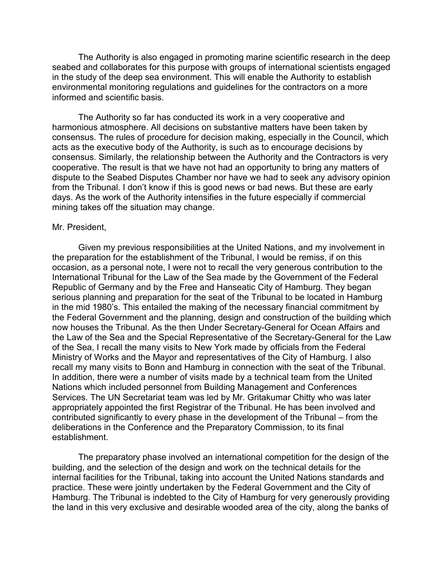The Authority is also engaged in promoting marine scientific research in the deep seabed and collaborates for this purpose with groups of international scientists engaged in the study of the deep sea environment. This will enable the Authority to establish environmental monitoring regulations and guidelines for the contractors on a more informed and scientific basis.

The Authority so far has conducted its work in a very cooperative and harmonious atmosphere. All decisions on substantive matters have been taken by consensus. The rules of procedure for decision making, especially in the Council, which acts as the executive body of the Authority, is such as to encourage decisions by consensus. Similarly, the relationship between the Authority and the Contractors is very cooperative. The result is that we have not had an opportunity to bring any matters of dispute to the Seabed Disputes Chamber nor have we had to seek any advisory opinion from the Tribunal. I don't know if this is good news or bad news. But these are early days. As the work of the Authority intensifies in the future especially if commercial mining takes off the situation may change.

## Mr. President,

Given my previous responsibilities at the United Nations, and my involvement in the preparation for the establishment of the Tribunal, I would be remiss, if on this occasion, as a personal note, I were not to recall the very generous contribution to the International Tribunal for the Law of the Sea made by the Government of the Federal Republic of Germany and by the Free and Hanseatic City of Hamburg. They began serious planning and preparation for the seat of the Tribunal to be located in Hamburg in the mid 1980's. This entailed the making of the necessary financial commitment by the Federal Government and the planning, design and construction of the building which now houses the Tribunal. As the then Under Secretary-General for Ocean Affairs and the Law of the Sea and the Special Representative of the Secretary-General for the Law of the Sea, I recall the many visits to New York made by officials from the Federal Ministry of Works and the Mayor and representatives of the City of Hamburg. I also recall my many visits to Bonn and Hamburg in connection with the seat of the Tribunal. In addition, there were a number of visits made by a technical team from the United Nations which included personnel from Building Management and Conferences Services. The UN Secretariat team was led by Mr. Gritakumar Chitty who was later appropriately appointed the first Registrar of the Tribunal. He has been involved and contributed significantly to every phase in the development of the Tribunal – from the deliberations in the Conference and the Preparatory Commission, to its final establishment.

The preparatory phase involved an international competition for the design of the building, and the selection of the design and work on the technical details for the internal facilities for the Tribunal, taking into account the United Nations standards and practice. These were jointly undertaken by the Federal Government and the City of Hamburg. The Tribunal is indebted to the City of Hamburg for very generously providing the land in this very exclusive and desirable wooded area of the city, along the banks of